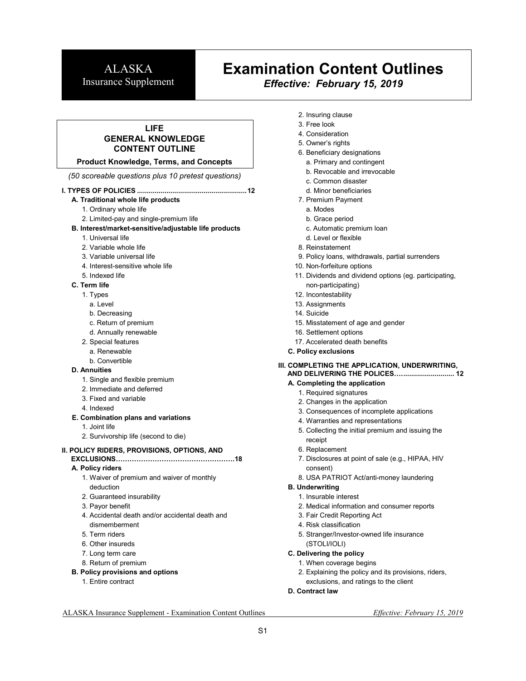# **Examination Content Outlines**

*Effective: February 15, 2019*

## **LIFE GENERAL KNOWLEDGE CONTENT OUTLINE**

**Product Knowledge, Terms, and Concepts** 

*(50 scoreable questions plus 10 pretest questions)* 

#### **I. TYPES OF POLICIES ........................................................ 12**

**A. Traditional whole life products** 

- 1. Ordinary whole life
- 2. Limited-pay and single-premium life

#### **B. Interest/market-sensitive/adjustable life products**

- 1. Universal life
- 2. Variable whole life
- 3. Variable universal life
- 4. Interest-sensitive whole life
- 5. Indexed life

#### **C. Term life**

- 1. Types
	- a. Level
	- b. Decreasing
	- c. Return of premium
	- d. Annually renewable
- 2. Special features
- a. Renewable
- b. Convertible

#### **D. Annuities**

- 1. Single and flexible premium
- 2. Immediate and deferred
- 3. Fixed and variable
- 4. Indexed

#### **E. Combination plans and variations**

- 1. Joint life
- 2. Survivorship life (second to die)

#### **II. POLICY RIDERS, PROVISIONS, OPTIONS, AND**

**EXCLUSIONS44444444444444444.18** 

#### **A. Policy riders**

- 1. Waiver of premium and waiver of monthly deduction
- 2. Guaranteed insurability
- 3. Payor benefit
- 4. Accidental death and/or accidental death and dismemberment
- 5. Term riders
- 6. Other insureds
- 7. Long term care
- 8. Return of premium
- **B. Policy provisions and options** 
	- 1. Entire contract
- 2. Insuring clause
- 3. Free look
- 4. Consideration
- 5. Owner's rights
- 6. Beneficiary designations
	- a. Primary and contingent
	- b. Revocable and irrevocable
	- c. Common disaster
	- d. Minor beneficiaries
- 7. Premium Payment
- a. Modes
- b. Grace period
- c. Automatic premium loan
- d. Level or flexible
- 8. Reinstatement
- 9. Policy loans, withdrawals, partial surrenders
- 10. Non-forfeiture options
- 11. Dividends and dividend options (eg. participating,
- non-participating) 12. Incontestability
- 13. Assignments
- 14. Suicide
- 15. Misstatement of age and gender
- 16. Settlement options
- 17. Accelerated death benefits
- **C. Policy exclusions**

#### **III. COMPLETING THE APPLICATION, UNDERWRITING,**

#### **AND DELIVERING THE POLICES4. .......................... 12**

- **A. Completing the application** 
	- 1. Required signatures
	- 2. Changes in the application
	- 3. Consequences of incomplete applications
	- 4. Warranties and representations
	- 5. Collecting the initial premium and issuing the receipt
	- 6. Replacement
	- 7. Disclosures at point of sale (e.g., HIPAA, HIV consent)
	- 8. USA PATRIOT Act/anti-money laundering
- **B. Underwriting**
- 1. Insurable interest
- 2. Medical information and consumer reports
- 3. Fair Credit Reporting Act
- 4. Risk classification
- 5. Stranger/Investor-owned life insurance (STOLI/IOLI)
- **C. Delivering the policy** 
	- 1. When coverage begins
	- 2. Explaining the policy and its provisions, riders,
	- exclusions, and ratings to the client
- **D. Contract law**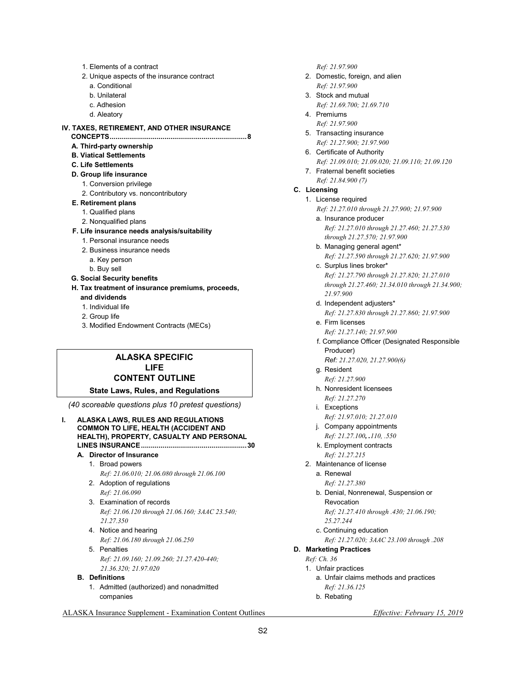- 1. Elements of a contract
- 2. Unique aspects of the insurance contract
	- a. Conditional
	- b. Unilateral
	- c. Adhesion
	- d. Aleatory

## **IV. TAXES, RETIREMENT, AND OTHER INSURANCE**

- **CONCEPTS ...................................................................... 8 A. Third-party ownership**
- **B. Viatical Settlements**
- **C. Life Settlements**
- **D. Group life insurance**
- 1. Conversion privilege
	- 2. Contributory vs. noncontributory

#### **E. Retirement plans**

- 1. Qualified plans
- 2. Nonqualified plans
- **F. Life insurance needs analysis/suitability** 
	- 1. Personal insurance needs
	- 2. Business insurance needs
		- a. Key person
	- b. Buy sell
- **G. Social Security benefits**

**H. Tax treatment of insurance premiums, proceeds,** 

- **and dividends**
- 1. Individual life
- 2. Group life
- 3. Modified Endowment Contracts (MECs)

## **ALASKA SPECIFIC LIFE CONTENT OUTLINE**

#### **State Laws, Rules, and Regulations**

*(40 scoreable questions plus 10 pretest questions)* 

**I. ALASKA LAWS, RULES AND REGULATIONS COMMON TO LIFE, HEALTH (ACCIDENT AND HEALTH), PROPERTY, CASUALTY AND PERSONAL LINES INSURANCE ...................................................... 30 A. Director of Insurance**  1. Broad powers  *Ref: 21.06.010; 21.06.080 through 21.06.100*  2. Adoption of regulations  *Ref: 21.06.090*  3. Examination of records  *Ref: 21.06.120 through 21.06.160; 3AAC 23.540; 21.27.350*  4. Notice and hearing  *Ref: 21.06.180 through 21.06.250*  5. Penalties  *Ref: 21.09.160; 21.09.260; 21.27.420-440; 21.36.320; 21.97.020*   **B. Definitions**  1. Admitted (authorized) and nonadmitted companies

 *Ref: 21.97.900* 

- 2. Domestic, foreign, and alien  *Ref: 21.97.900*
- 3. Stock and mutual  *Ref: 21.69.700; 21.69.710*
- 4. Premiums  *Ref: 21.97.900*
- 5. Transacting insurance  *Ref: 21.27.900; 21.97.900*
- 6. Certificate of Authority  *Ref: 21.09.010; 21.09.020; 21.09.110; 21.09.120*
- 7. Fraternal benefit societies  *Ref: 21.84.900 (7)*

### **C. Licensing**

#### 1. License required

 *Ref: 21.27.010 through 21.27.900; 21.97.900* 

- a. Insurance producer  *Ref: 21.27.010 through 21.27.460; 21.27.530 through 21.27.570; 21.97.900*
- b. Managing general agent\*  *Ref: 21.27.590 through 21.27.620; 21.97.900*
- c. Surplus lines broker\*  *Ref: 21.27.790 through 21.27.820; 21.27.010 through 21.27.460; 21.34.010 through 21.34.900; 21.97.900*
- d. Independent adjusters\*
- *Ref: 21.27.830 through 21.27.860; 21.97.900*  e. Firm licenses
	- *Ref: 21.27.140; 21.97.900*
- f. Compliance Officer (Designated Responsible Producer) *Ref: 21.27.020, 21.27.900(6)*
- g. Resident
- *Ref: 21.27.900*  h. Nonresident licensees
- *Ref: 21.27.270 i.* Exceptions
- *Ref: 21.97.010; 21.27.010*  j. Company appointments
- *Ref: 21.27.100, .110, .550*  k. Employment contracts
- *Ref: 21.27.215*
- 2. Maintenance of license a. Renewal
	- *Ref: 21.27.380*
	- b. Denial, Nonrenewal, Suspension or Revocation *Ref; 21.27.410 through .430; 21.06.190;* 
		- *25.27.244*
	- c. Continuing education
		- *Ref: 21.27.020; 3AAC 23.100 through .208*
- **D. Marketing Practices** 
	- *Ref: Ch. 36* 
		- 1. Unfair practices
			- a. Unfair claims methods and practices  *Ref: 21.36.125*
			- b. Rebating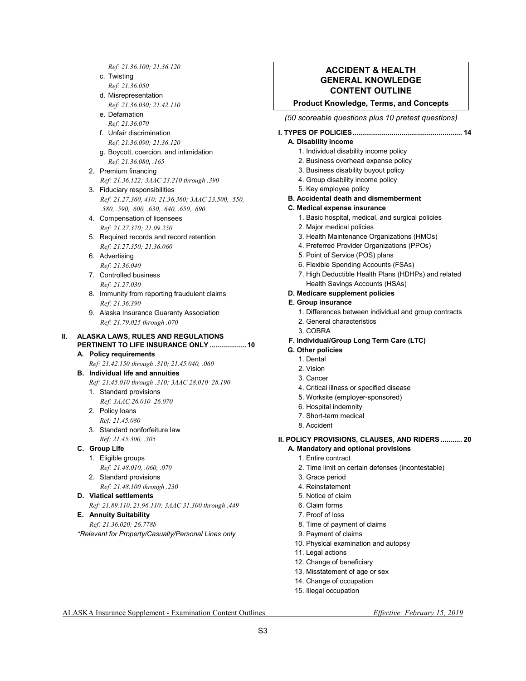*Ref: 21.36.100; 21.36.120* 

- c. Twisting
- *Ref: 21.36.050*
- d. Misrepresentation  *Ref: 21.36.030; 21.42.110*
- e. Defamation  *Ref: 21.36.070*
- f. Unfair discrimination  *Ref: 21.36.090; 21.36.120*
- g. Boycott, coercion, and intimidation  *Ref: 21.36.080, .165*
- 2. Premium financing  *Ref: 21.36.122; 3AAC 23.210 through .390*
- 3. Fiduciary responsibilities  *Ref: 21.27.360, 410; 21.36.360; 3AAC 23.500, .550, .580, .590, .600, .630, .640, .650, .690*
- 4. Compensation of licensees  *Ref: 21.27.370; 21.09.250*
- 5. Required records and record retention  *Ref: 21.27.350; 21.36.060*
- 6. Advertising  *Ref: 21.36.040*
- 7. Controlled business  *Ref: 21.27.030*
- 8. Immunity from reporting fraudulent claims  *Ref: 21.36.390*
- 9. Alaska Insurance Guaranty Association  *Ref: 21.79.025 through .070*

## **II. ALASKA LAWS, RULES AND REGULATIONS PERTINENT TO LIFE INSURANCE ONLY ................... 10**

- **A. Policy requirements**   *Ref: 21.42.150 through .310; 21.45.040, .060*
- **B. Individual life and annuities** 
	- *Ref: 21.45.010 through .310; 3AAC 28.010–28.190*
	- 1. Standard provisions
	- *Ref: 3AAC 26.010–26.070*  2. Policy loans
		- *Ref: 21.45.080*
	- 3. Standard nonforfeiture law *Ref: 21.45.300, .305*
- **C. Group Life** 
	- 1. Eligible groups  *Ref: 21.48.010, .060, .070*
	- 2. Standard provisions
		- *Ref: 21.48.100 through .230*
- **D. Viatical settlements**

 *Ref: 21.89.110, 21.96.110; 3AAC 31.300 through .449* 

**E. Annuity Suitability**   *Ref: 21.36.020; 26.778b* 

*\*Relevant for Property/Casualty/Personal Lines only*

### **ACCIDENT & HEALTH GENERAL KNOWLEDGE CONTENT OUTLINE**

## **Product Knowledge, Terms, and Concepts**

*(50 scoreable questions plus 10 pretest questions)* 

#### **I. TYPES OF POLICIES ........................................................ 14**

#### **A. Disability income**

- 1. Individual disability income policy
- 2. Business overhead expense policy
- 3. Business disability buyout policy
- 4. Group disability income policy
- 5. Key employee policy
- **B. Accidental death and dismemberment**
- **C. Medical expense insurance** 
	- 1. Basic hospital, medical, and surgical policies
	- 2. Major medical policies
	- 3. Health Maintenance Organizations (HMOs)
	- 4. Preferred Provider Organizations (PPOs)
	- 5. Point of Service (POS) plans
	- 6. Flexible Spending Accounts (FSAs)
	- 7. High Deductible Health Plans (HDHPs) and related
- Health Savings Accounts (HSAs) **D. Medicare supplement policies**

## **E. Group insurance**

- 1. Differences between individual and group contracts
- 2. General characteristics
- 3. COBRA
- **F. Individual/Group Long Term Care (LTC)**
- **G. Other policies** 
	- 1. Dental
	- 2. Vision
	- 3. Cancer
	- 4. Critical illness or specified disease
	- 5. Worksite (employer-sponsored)
	- 6. Hospital indemnity
	- 7. Short-term medical
	- 8. Accident

## **II. POLICY PROVISIONS, CLAUSES, AND RIDERS ........... 20**

- **A. Mandatory and optional provisions** 
	- 1. Entire contract
	- 2. Time limit on certain defenses (incontestable)
	- 3. Grace period
	- 4. Reinstatement
	- 5. Notice of claim
	- 6. Claim forms
	- 7. Proof of loss
	- 8. Time of payment of claims
	- 9. Payment of claims
	- 10. Physical examination and autopsy
	- 11. Legal actions
	- 12. Change of beneficiary
- 13. Misstatement of age or sex
- 14. Change of occupation
- 15. Illegal occupation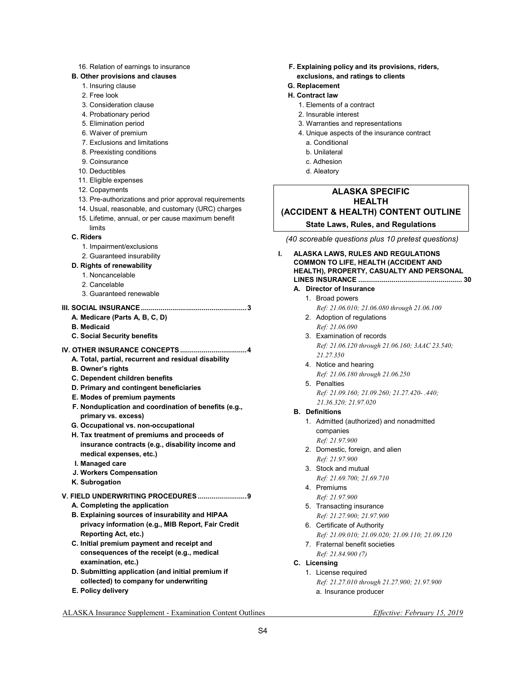#### 16. Relation of earnings to insurance

#### **B. Other provisions and clauses**

- 1. Insuring clause
- 2. Free look
- 3. Consideration clause
- 4. Probationary period
- 5. Elimination period
- 6. Waiver of premium
- 7. Exclusions and limitations
- 8. Preexisting conditions
- 9. Coinsurance
- 10. Deductibles
- 11. Eligible expenses
- 12. Copayments
- 13. Pre-authorizations and prior approval requirements
- 14. Usual, reasonable, and customary (URC) charges
- 15. Lifetime, annual, or per cause maximum benefit
- limits **C. Riders** 
	-
	- 1. Impairment/exclusions
	- 2. Guaranteed insurability
- **D. Rights of renewability** 
	- 1. Noncancelable
	- 2. Cancelable
	- 3. Guaranteed renewable

### **III. SOCIAL INSURANCE ...................................................... 3**

- **A. Medicare (Parts A, B, C, D)**
- **B. Medicaid**
- **C. Social Security benefits**
- **IV. OTHER INSURANCE CONCEPTS .................................. 4** 
	- **A. Total, partial, recurrent and residual disability**
	- **B. Owner's rights**
	- **C. Dependent children benefits**
	- **D. Primary and contingent beneficiaries**
	- **E. Modes of premium payments**
	- **F. Nonduplication and coordination of benefits (e.g., primary vs. excess)**
	- **G. Occupational vs. non-occupational**
	- **H. Tax treatment of premiums and proceeds of insurance contracts (e.g., disability income and medical expenses, etc.)**
	- **I. Managed care**
	- **J. Workers Compensation**
	- **K. Subrogation**

#### **V. FIELD UNDERWRITING PROCEDURES ......................... 9**

- **A. Completing the application**
- **B. Explaining sources of insurability and HIPAA privacy information (e.g., MIB Report, Fair Credit Reporting Act, etc.)**
- **C. Initial premium payment and receipt and consequences of the receipt (e.g., medical examination, etc.)**
- **D. Submitting application (and initial premium if collected) to company for underwriting**
- **E. Policy delivery**
- **F. Explaining policy and its provisions, riders, exclusions, and ratings to clients**
- **G. Replacement**
- **H. Contract law** 
	- 1. Elements of a contract
	- 2. Insurable interest
	- 3. Warranties and representations
	- 4. Unique aspects of the insurance contract
		- a. Conditional
		- b. Unilateral
		- c. Adhesion
		- d. Aleatory

## **ALASKA SPECIFIC HEALTH (ACCIDENT & HEALTH) CONTENT OUTLINE**

#### **State Laws, Rules, and Regulations**

- *(40 scoreable questions plus 10 pretest questions)*
- **I. ALASKA LAWS, RULES AND REGULATIONS COMMON TO LIFE, HEALTH (ACCIDENT AND HEALTH), PROPERTY, CASUALTY AND PERSONAL LINES INSURANCE ..................................................... 30**

#### **A. Director of Insurance**

- 1. Broad powers  *Ref: 21.06.010; 21.06.080 through 21.06.100*
- 2. Adoption of regulations  *Ref: 21.06.090*
- 3. Examination of records  *Ref: 21.06.120 through 21.06.160; 3AAC 23.540; 21.27.350*
- 4. Notice and hearing  *Ref: 21.06.180 through 21.06.250*
- 5. Penalties  *Ref: 21.09.160; 21.09.260; 21.27.420- .440; 21.36.320; 21.97.020*

#### **B. Definitions**

- 1. Admitted (authorized) and nonadmitted companies  *Ref: 21.97.900*
- 2. Domestic, foreign, and alien  *Ref: 21.97.900*
- 3. Stock and mutual
- *Ref: 21.69.700; 21.69.710*  4. Premiums
- *Ref: 21.97.900*
- 5. Transacting insurance  *Ref: 21.27.900; 21.97.900*
- 6. Certificate of Authority  *Ref: 21.09.010; 21.09.020; 21.09.110; 21.09.120*
- 7. Fraternal benefit societies  *Ref: 21.84.900 (7)*

#### **C. Licensing**

 1. License required  *Ref: 21.27.010 through 21.27.900; 21.97.900*  a. Insurance producer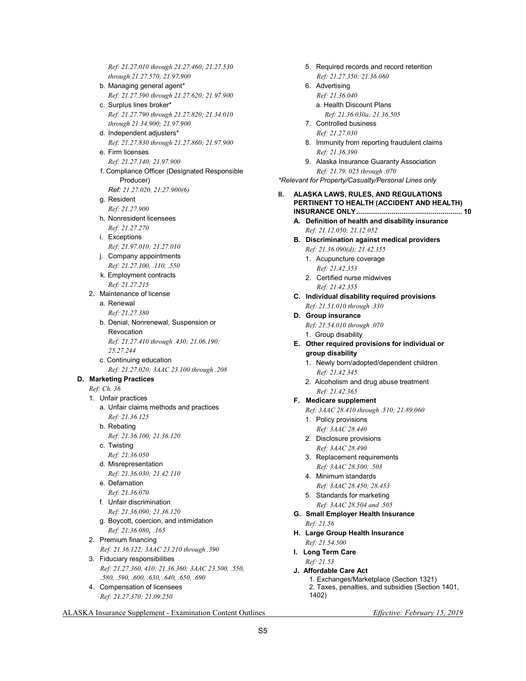*Ref: 21.27.010 through 21.27.460; 21.27.530 through 21.27.570; 21.97.900* 

- b. Managing general agent\*  *Ref: 21.27.590 through 21.27.620; 21.97.900*  c. Surplus lines broker\*
- *Ref: 21.27.790 through 21.27.820; 21.34.010 through 21.34.900; 21.97.900*
- d. Independent adjusters\*  *Ref: 21.27.830 through 21.27.860; 21.97.900*  e. Firm licenses
- *Ref: 21.27.140; 21.97.900*
- f. Compliance Officer (Designated Responsible Producer)
	- *Ref: 21.27.020, 21.27.900(6)*
- g. Resident  *Ref: 21.27.900*
- h. Nonresident licensees  *Ref: 21.27.270*
- i. Exceptions
- *Ref: 21.97.010; 21.27.010*  j. Company appointments  *Ref: 21.27.100, .110, .550*
- k. Employment contracts *Ref: 21.27.215*
- 2. Maintenance of license
	- a. Renewal  *Ref: 21.27.380*
	- b. Denial, Nonrenewal, Suspension or Revocation *Ref: 21.27.410 through .430; 21.06.190; 25.27.244*
	- c. Continuing education
- *Ref: 21.27.020; 3AAC 23.100 through .208*   **D. Marketing Practices** 
	- *Ref: Ch. 36*
	- 1. Unfair practices
		- a. Unfair claims methods and practices  *Ref: 21.36.125*
		- b. Rebating  *Ref: 21.36.100; 21.36.120*
		- c. Twisting  *Ref: 21.36.050*
		- d. Misrepresentation  *Ref: 21.36.030; 21.42.110*
		- e. Defamation  *Ref: 21.36.070*
		- f. Unfair discrimination  *Ref: 21.36.090; 21.36.120*
		- g. Boycott, coercion, and intimidation  *Ref: 21.36.080, .165*
	- 2. Premium financing  *Ref: 21.36.122; 3AAC 23.210 through .390*
	- 3. Fiduciary responsibilities  *Ref: 21.27.360, 410; 21.36.360; 3AAC 23.500, .550, .580, .590, .600, .630, .640, .650, .690*
	- 4. Compensation of licensees  *Ref: 21.27.370; 21.09.250*
- 5. Required records and record retention  *Ref: 21.27.350; 21.36.060*
- 6. Advertising  *Ref: 21.36.040*  a. Health Discount Plans  *Ref: 21.36.030a; 21.36.505*
- 7. Controlled business  *Ref: 21.27.030*
- 8. Immunity from reporting fraudulent claims  *Ref: 21.36.390*
- 9. Alaska Insurance Guaranty Association  *Ref: 21.79. 025 through .070*

*\*Relevant for Property/Casualty/Personal Lines only*

#### **II. ALASKA LAWS, RULES, AND REGULATIONS PERTINENT TO HEALTH (ACCIDENT AND HEALTH) INSURANCE ONLY ...................................................... 10**

- **A. Definition of health and disability insurance**   *Ref: 21.12.050; 21.12.052*
- **B. Discrimination against medical providers**   *Ref: 21.36.090(d); 21.42.355* 
	- 1. Acupuncture coverage  *Ref: 21.42.353*
	- 2. Certified nurse midwives  *Ref: 21.42.355*
- **C. Individual disability required provisions**   *Ref: 21.51.010 through .330*
- **D. Group insurance**   *Ref: 21.54.010 through .070* 
	- 1. Group disability
- **E. Other required provisions for individual or** 
	- **group disability**  1. Newly born/adopted/dependent children  *Ref: 21.42.345*
	- 2. Alcoholism and drug abuse treatment  *Ref: 21.42.365*
- **F. Medicare supplement** 
	- *Ref: 3AAC 28.410 through .510; 21.89.060*
	- 1. Policy provisions  *Ref: 3AAC 28.440*
	- 2. Disclosure provisions  *Ref: 3AAC 28.490*
	- 3. Replacement requirements  *Ref: 3AAC 28.500, .503*
	- 4. Minimum standards  *Ref: 3AAC 28.450; 28.453*
	- 5. Standards for marketing  *Ref: 3AAC 28.504 and .505*
- **G. Small Employer Health Insurance**   *Ref: 21.56*
- **H. Large Group Health Insurance**
- *Ref: 21.54.500*  **I. Long Term Care**
- *Ref: 21.53*
- **J. Affordable Care Act**  1. Exchanges/Marketplace (Section 1321) 2. Taxes, penalties, and subsidies (Section 1401, 1402)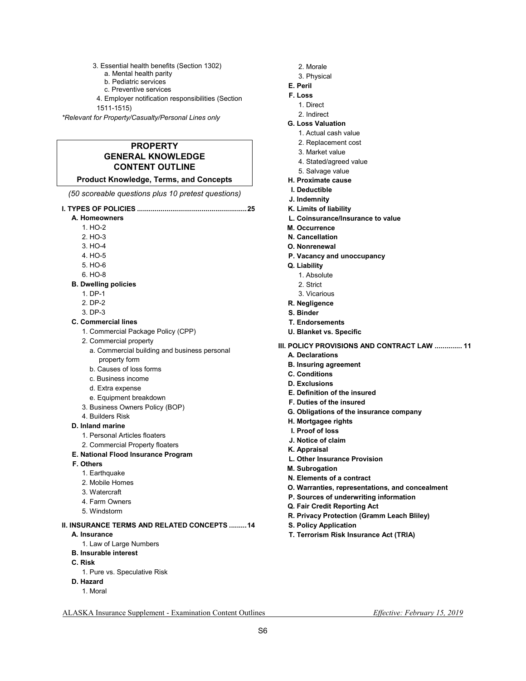3. Essential health benefits (Section 1302)

- a. Mental health parity
- b. Pediatric services
- c. Preventive services
- 4. Employer notification responsibilities (Section

1511-1515)

*\*Relevant for Property/Casualty/Personal Lines only*

## **PROPERTY GENERAL KNOWLEDGE CONTENT OUTLINE**

## **Product Knowledge, Terms, and Concepts**

*(50 scoreable questions plus 10 pretest questions)* 

- **I. TYPES OF POLICIES ........................................................ 25** 
	- **A. Homeowners** 
		- 1. HO-2
		- 2. HO-3
		- 3. HO-4
		- 4. HO-5
		- 5. HO-6
		- 6. HO-8

#### **B. Dwelling policies**

- 1. DP-1
- 2. DP-2
- 3. DP-3
- **C. Commercial lines** 
	- 1. Commercial Package Policy (CPP)
	- 2. Commercial property
		- a. Commercial building and business personal property form
		- b. Causes of loss forms
		- c. Business income
		- d. Extra expense
	- e. Equipment breakdown
	- 3. Business Owners Policy (BOP)
	- 4. Builders Risk
- **D. Inland marine** 
	- 1. Personal Articles floaters
	- 2. Commercial Property floaters
- **E. National Flood Insurance Program**
- **F. Others** 
	- 1. Earthquake
	- 2. Mobile Homes
	- 3. Watercraft
	- 4. Farm Owners
	- 5. Windstorm

**II. INSURANCE TERMS AND RELATED CONCEPTS ......... 14** 

- **A. Insurance** 
	- 1. Law of Large Numbers
- **B. Insurable interest**
- **C. Risk** 
	- 1. Pure vs. Speculative Risk
- **D. Hazard** 
	- 1. Moral
- 2. Morale
- 3. Physical
- **E. Peril**
- **F. Loss**
- 1. Direct
- 2. Indirect
- **G. Loss Valuation** 
	- 1. Actual cash value
	- 2. Replacement cost
	- 3. Market value
	- 4. Stated/agreed value
	- 5. Salvage value
- **H. Proximate cause**
- **I. Deductible**
- **J. Indemnity**
- **K. Limits of liability**
- **L. Coinsurance/Insurance to value**
- **M. Occurrence**
- **N. Cancellation**
- **O. Nonrenewal**
- **P. Vacancy and unoccupancy**
- **Q. Liability**
- 1. Absolute
- 2. Strict
- 3. Vicarious
- **R. Negligence**
- **S. Binder**
- **T. Endorsements**
- **U. Blanket vs. Specific**
- **III. POLICY PROVISIONS AND CONTRACT LAW .............. 11** 
	- **A. Declarations**
	- **B. Insuring agreement**
	- **C. Conditions**
	- **D. Exclusions**
	- **E. Definition of the insured**
	- **F. Duties of the insured**
	- **G. Obligations of the insurance company**
	- **H. Mortgagee rights**
	- **I. Proof of loss**
	- **J. Notice of claim**
	- **K. Appraisal**
	- **L. Other Insurance Provision**
	- **M. Subrogation**
	- **N. Elements of a contract**
	- **O. Warranties, representations, and concealment**
	- **P. Sources of underwriting information**
	- **Q. Fair Credit Reporting Act**
	- **R. Privacy Protection (Gramm Leach Bliley)**
	- **S. Policy Application**

ALASKA Insurance Supplement - Examination Content Outlines *Effective: February 15, 2019* 

S6

**T. Terrorism Risk Insurance Act (TRIA)**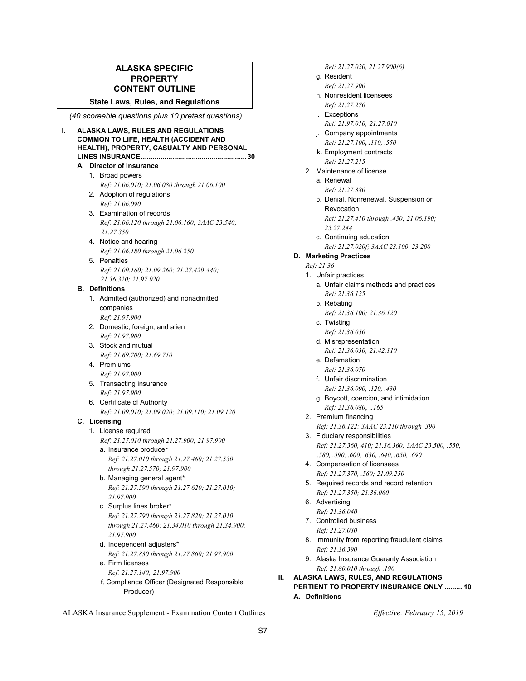## **ALASKA SPECIFIC PROPERTY CONTENT OUTLINE**

**State Laws, Rules, and Regulations** 

 *(40 scoreable questions plus 10 pretest questions)*

- **I. ALASKA LAWS, RULES AND REGULATIONS COMMON TO LIFE, HEALTH (ACCIDENT AND HEALTH), PROPERTY, CASUALTY AND PERSONAL LINES INSURANCE ...................................................... 30 A. Director of Insurance**  1. Broad powers  *Ref: 21.06.010; 21.06.080 through 21.06.100* 
	- 2. Adoption of regulations  *Ref: 21.06.090*
	- 3. Examination of records  *Ref: 21.06.120 through 21.06.160; 3AAC 23.540; 21.27.350*
	- 4. Notice and hearing  *Ref: 21.06.180 through 21.06.250*
	- 5. Penalties  *Ref: 21.09.160; 21.09.260; 21.27.420-440; 21.36.320; 21.97.020*

#### **B. Definitions**

- 1. Admitted (authorized) and nonadmitted companies  *Ref: 21.97.900*
- 2. Domestic, foreign, and alien  *Ref: 21.97.900*
- 3. Stock and mutual  *Ref: 21.69.700; 21.69.710*
- 4. Premiums  *Ref: 21.97.900*
- 5. Transacting insurance  *Ref: 21.97.900*
- 6. Certificate of Authority  *Ref: 21.09.010; 21.09.020; 21.09.110; 21.09.120*

## **C. Licensing**

- 1. License required  *Ref: 21.27.010 through 21.27.900; 21.97.900*  a. Insurance producer
	- *Ref: 21.27.010 through 21.27.460; 21.27.530 through 21.27.570; 21.97.900*
	- b. Managing general agent\* *Ref: 21.27.590 through 21.27.620; 21.27.010; 21.97.900*
	- c. Surplus lines broker\* *Ref: 21.27.790 through 21.27.820; 21.27.010 through 21.27.460; 21.34.010 through 21.34.900; 21.97.900*
	- d. Independent adjusters\*  *Ref: 21.27.830 through 21.27.860; 21.97.900*
	- e. Firm licenses  *Ref: 21.27.140; 21.97.900*
	- f. Compliance Officer (Designated Responsible Producer)

*Ref: 21.27.020, 21.27.900(6)* 

- g. Resident  *Ref: 21.27.900*
- h. Nonresident licensees *Ref: 21.27.270*
- i. Exceptions
- *Ref: 21.97.010; 21.27.010*  j. Company appointments
- *Ref: 21.27.100, .110, .550*  k. Employment contracts
- *Ref: 21.27.215*  2. Maintenance of license
	- a. Renewal  *Ref: 21.27.380*
	- b. Denial, Nonrenewal, Suspension or Revocation *Ref: 21.27.410 through .430; 21.06.190; 25.27.244*
	- c. Continuing education  *Ref: 21.27.020f; 3AAC 23.100–23.208*
- **D. Marketing Practices** 
	- *Ref: 21.36*
	- 1. Unfair practices
		- a. Unfair claims methods and practices  *Ref: 21.36.125*
		- b. Rebating
			- *Ref: 21.36.100; 21.36.120*
		- c. Twisting  *Ref: 21.36.050*
		- d. Misrepresentation
			- *Ref: 21.36.030; 21.42.110*
		- e. Defamation  *Ref: 21.36.070*
		- f. Unfair discrimination  *Ref: 21.36.090, .120, .430*
		- g. Boycott, coercion, and intimidation  *Ref: 21.36.080, .<sup>165</sup>*
	- 2. Premium financing  *Ref: 21.36.122; 3AAC 23.210 through .390*  3. Fiduciary responsibilities  *Ref: 21.27.360, 410; 21.36.360; 3AAC 23.500, .550,*
	- *.580, .590, .600, .630, .640, .650, .690*
	- 4. Compensation of licensees  *Ref: 21.27.370, .560; 21.09.250*
	- 5. Required records and record retention  *Ref: 21.27.350; 21.36.060*
	- 6. Advertising
		- *Ref: 21.36.040*
	- 7. Controlled business  *Ref: 21.27.030*
	- 8. Immunity from reporting fraudulent claims  *Ref: 21.36.390*
	- 9. Alaska Insurance Guaranty Association  *Ref: 21.80.010 through .190*

**II. ALASKA LAWS, RULES, AND REGULATIONS PERTIENT TO PROPERTY INSURANCE ONLY ......... 10 A. Definitions**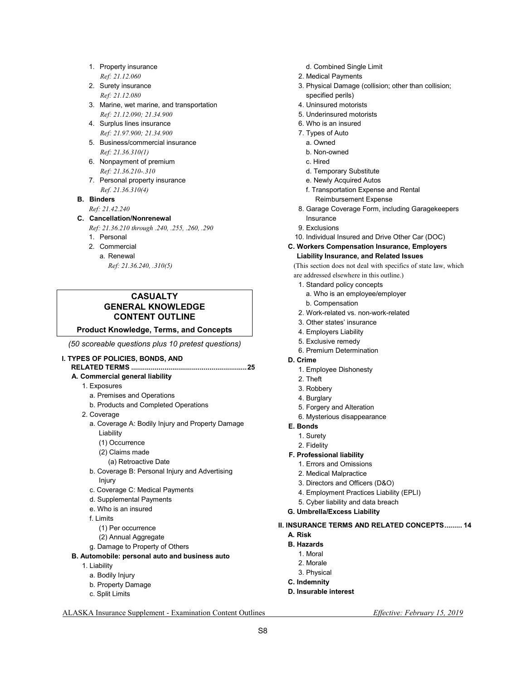- 1. Property insurance  *Ref: 21.12.060*
- 2. Surety insurance  *Ref: 21.12.080*
- 3. Marine, wet marine, and transportation  *Ref: 21.12.090; 21.34.900*
- 4. Surplus lines insurance  *Ref: 21.97.900; 21.34.900*
- 5. Business/commercial insurance  *Ref: 21.36.310(1)*
- 6. Nonpayment of premium *Ref: 21.36.210-.310*
- 7. Personal property insurance  *Ref. 21.36.310(4)*

#### **B. Binders**

 *Ref: 21.42.240* 

#### **C. Cancellation/Nonrenewal**

- *Ref: 21.36.210 through .240, .255, .260, .290*
- 1. Personal
- 2. Commercial
- a. Renewal

 *Ref: 21.36.240, .310(5)* 

## **CASUALTY GENERAL KNOWLEDGE CONTENT OUTLINE**

**Product Knowledge, Terms, and Concepts** 

*(50 scoreable questions plus 10 pretest questions)* 

#### **I. TYPES OF POLICIES, BONDS, AND**

## **RELATED TERMS ........................................................... 25**

## **A. Commercial general liability**

- 1. Exposures
- a. Premises and Operations
- b. Products and Completed Operations
- 2. Coverage
	- a. Coverage A: Bodily Injury and Property Damage Liability
		- (1) Occurrence
		- (2) Claims made
			- (a) Retroactive Date
	- b. Coverage B: Personal Injury and Advertising Injury
	- c. Coverage C: Medical Payments
	- d. Supplemental Payments
	- e. Who is an insured
	- f. Limits
		- (1) Per occurrence
		- (2) Annual Aggregate
	- g. Damage to Property of Others

#### **B. Automobile: personal auto and business auto**

- 1. Liability
	- a. Bodily Injury
	- b. Property Damage
	- c. Split Limits
- d. Combined Single Limit
- 2. Medical Payments
- 3. Physical Damage (collision; other than collision; specified perils)
- 4. Uninsured motorists
- 5. Underinsured motorists
- 6. Who is an insured
- 7. Types of Auto
	- a. Owned
	- b. Non-owned
	- c. Hired
	- d. Temporary Substitute
	- e. Newly Acquired Autos
	- f. Transportation Expense and Rental Reimbursement Expense
- 8. Garage Coverage Form, including Garagekeepers Insurance
- 9. Exclusions
- 10. Individual Insured and Drive Other Car (DOC)

#### **C. Workers Compensation Insurance, Employers Liability Insurance, and Related Issues**

(This section does not deal with specifics of state law, which are addressed elsewhere in this outline.)

- 1. Standard policy concepts
	- a. Who is an employee/employer b. Compensation
- 2. Work-related vs. non-work-related
- 3. Other states' insurance
- 4. Employers Liability
- 5. Exclusive remedy
- 6. Premium Determination
- **D. Crime** 
	- 1. Employee Dishonesty
	- 2. Theft
	- 3. Robbery
	- 4. Burglary
	- 5. Forgery and Alteration
	- 6. Mysterious disappearance
- **E. Bonds**
- 1. Surety
- 2. Fidelity

#### **F. Professional liability**

- 1. Errors and Omissions
- 2. Medical Malpractice
- 3. Directors and Officers (D&O)
- 4. Employment Practices Liability (EPLI)
- 5. Cyber liability and data breach
- **G. Umbrella/Excess Liability**
- **II. INSURANCE TERMS AND RELATED CONCEPTS ......... 14 A. Risk** 
	- **B. Hazards** 
		- 1. Moral
		- 2. Morale
		- 3. Physical
	- **C. Indemnity**
	-

## **D. Insurable interest**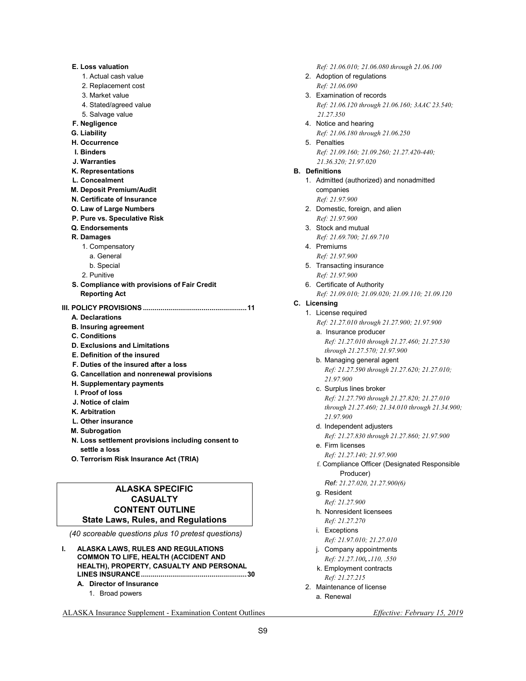| <b>E. Loss valuation</b>                     |  |
|----------------------------------------------|--|
| 1. Actual cash value                         |  |
| 2. Replacement cost                          |  |
| 3. Market value                              |  |
| 4. Stated/agreed value                       |  |
| 5. Salvage value                             |  |
| F. Negligence                                |  |
| G. Liability                                 |  |
| <b>H. Occurrence</b>                         |  |
| I. Binders                                   |  |
| J. Warranties                                |  |
| K. Representations                           |  |
| L. Concealment                               |  |
| M. Deposit Premium/Audit                     |  |
| N. Certificate of Insurance                  |  |
| O. Law of Large Numbers                      |  |
| P. Pure vs. Speculative Risk                 |  |
| Q. Endorsements                              |  |
| R. Damages                                   |  |
| 1. Compensatory                              |  |
| a. General                                   |  |
| b. Special                                   |  |
| 2. Punitive                                  |  |
| S. Compliance with provisions of Fair Credit |  |
| <b>Reporting Act</b>                         |  |
|                                              |  |
| A. Declarations                              |  |
| <b>B. Insuring agreement</b>                 |  |
| <b>C.</b> Conditions                         |  |
| <b>D. Exclusions and Limitations</b>         |  |
| <b>E. Definition of the insured</b>          |  |
| F. Duties of the insured after a loss        |  |
| G. Cancellation and nonrenewal provisions    |  |
| H. Supplementary payments                    |  |
| I. Proof of loss                             |  |
| J. Notice of claim                           |  |
| K. Arbitration                               |  |
| L. Other insurance                           |  |

- **M. Subrogation**
- **N. Loss settlement provisions including consent to settle a loss**
- **O. Terrorism Risk Insurance Act (TRIA)**

## **ALASKA SPECIFIC CASUALTY CONTENT OUTLINE State Laws, Rules, and Regulations**

 *(40 scoreable questions plus 10 pretest questions)*

- **I. ALASKA LAWS, RULES AND REGULATIONS COMMON TO LIFE, HEALTH (ACCIDENT AND HEALTH), PROPERTY, CASUALTY AND PERSONAL LINES INSURANCE ...................................................... 30 A. Director of Insurance** 
	- 1. Broad powers

 *Ref: 21.06.010; 21.06.080 through 21.06.100* 

- 2. Adoption of regulations  *Ref: 21.06.090*
- 3. Examination of records  *Ref: 21.06.120 through 21.06.160; 3AAC 23.540; 21.27.350*
- 4. Notice and hearing  *Ref: 21.06.180 through 21.06.250*
- 5. Penalties  *Ref: 21.09.160; 21.09.260; 21.27.420-440; 21.36.320; 21.97.020*

#### **B. Definitions**

- 1. Admitted (authorized) and nonadmitted companies
	- *Ref: 21.97.900*
- 2. Domestic, foreign, and alien  *Ref: 21.97.900*
- 3. Stock and mutual
	- *Ref: 21.69.700; 21.69.710*
- 4. Premiums  *Ref: 21.97.900*
- 5. Transacting insurance  *Ref: 21.97.900*
- 6. Certificate of Authority  *Ref: 21.09.010; 21.09.020; 21.09.110; 21.09.120*

#### **C. Licensing**

#### 1. License required

 *Ref: 21.27.010 through 21.27.900; 21.97.900* 

- a. Insurance producer  *Ref: 21.27.010 through 21.27.460; 21.27.530 through 21.27.570; 21.97.900*
- b. Managing general agent *Ref: 21.27.590 through 21.27.620; 21.27.010; 21.97.900*
- c. Surplus lines broker *Ref: 21.27.790 through 21.27.820; 21.27.010 through 21.27.460; 21.34.010 through 21.34.900; 21.97.900*
- d. Independent adjusters

 *Ref: 21.27.830 through 21.27.860; 21.97.900* 

- e. Firm licenses  *Ref: 21.27.140; 21.97.900*
- f. Compliance Officer (Designated Responsible Producer)
	- *Ref: 21.27.020, 21.27.900(6)*
- g. Resident  *Ref: 21.27.900*
- h. Nonresident licensees *Ref: 21.27.270*
- i. Exceptions  *Ref: 21.97.010; 21.27.010*
- j. Company appointments
- *Ref: 21.27.100, .110, .550*  k. Employment contracts
- *Ref: 21.27.215*
- 2. Maintenance of license a. Renewal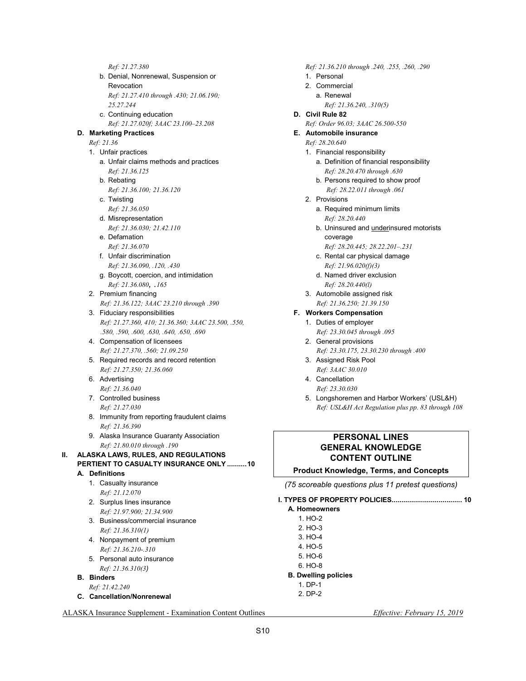*Ref: 21.27.380*  b. Denial, Nonrenewal, Suspension or Revocation *Ref: 21.27.410 through .430; 21.06.190; 25.27.244*  c. Continuing education  *Ref: 21.27.020f; 3AAC 23.100–23.208*   **D. Marketing Practices**   *Ref: 21.36*  1. Unfair practices a. Unfair claims methods and practices  *Ref: 21.36.125*  b. Rebating  *Ref: 21.36.100; 21.36.120*  c. Twisting  *Ref: 21.36.050*  d. Misrepresentation  *Ref: 21.36.030; 21.42.110*  e. Defamation  *Ref: 21.36.070*  f. Unfair discrimination  *Ref: 21.36.090, .120, .430*  g. Boycott, coercion, and intimidation  *Ref: 21.36.080, .<sup>165</sup>* 2. Premium financing  *Ref: 21.36.122; 3AAC 23.210 through .390*  3. Fiduciary responsibilities  *Ref: 21.27.360, 410; 21.36.360; 3AAC 23.500, .550, .580, .590, .600, .630, .640, .650, .690*  4. Compensation of licensees  *Ref: 21.27.370, .560; 21.09.250*  5. Required records and record retention  *Ref: 21.27.350; 21.36.060*  6. Advertising  *Ref: 21.36.040*  7. Controlled business  *Ref: 21.27.030*  8. Immunity from reporting fraudulent claims  *Ref: 21.36.390*  9. Alaska Insurance Guaranty Association  *Ref: 21.80.010 through .190*  **II. ALASKA LAWS, RULES, AND REGULATIONS PERTIENT TO CASUALTY INSURANCE ONLY .......... 10 A. Definitions**  1. Casualty insurance  *Ref: 21.12.070*  2. Surplus lines insurance  *Ref: 21.97.900; 21.34.900*  3. Business/commercial insurance  *Ref: 21.36.310(1)*  4. Nonpayment of premium *Ref: 21.36.210-.310*  5. Personal auto insurance *Ref: 21.36.310(3)*   **B. Binders** 

- *Ref: 21.42.240*
- **C. Cancellation/Nonrenewal**

 *Ref: 21.36.210 through .240, .255, .260, .290* 1. Personal 2. Commercial

- a. Renewal  *Ref: 21.36.240, .310(5)*
- **D. Civil Rule 82**   *Ref: Order 96.03; 3AAC 26.500-550*
- **E. Automobile insurance** 
	- *Ref: 28.20.640*
	- 1. Financial responsibility
		- a. Definition of financial responsibility  *Ref: 28.20.470 through .630*
		- b. Persons required to show proof  *Ref: 28.22.011 through .061*
	- 2. Provisions
		- a. Required minimum limits  *Ref: 28.20.440*
		- b. Uninsured and underinsured motorists coverage
			- *Ref: 28.20.445; 28.22.201–.231*
		- c. Rental car physical damage  *Ref: 21.96.020(f)(3)*
		- d. Named driver exclusion *Ref: 28.20.440(l)*
	- 3. Automobile assigned risk  *Ref: 21.36.250; 21.39.150*

#### **F. Workers Compensation**

- 1. Duties of employer  *Ref: 23.30.045 through .095*
- 2. General provisions  *Ref: 23.30.175, 23.30.230 through .400*
- 3. Assigned Risk Pool  *Ref: 3AAC 30.010*
- 4. Cancellation  *Ref: 23.30.030*
- 5. Longshoremen and Harbor Workers' (USL&H)  *Ref: USL&H Act Regulation plus pp. 83 through 108*

## **PERSONAL LINES GENERAL KNOWLEDGE CONTENT OUTLINE**

#### **Product Knowledge, Terms, and Concepts**

*(75 scoreable questions plus 11 pretest questions)* 

**I. TYPES OF PROPERTY POLICIES.................................... 10** 

- **A. Homeowners** 
	- $1$  HO-2 2. HO-3
	- 3. HO-4
	- 4. HO-5
	- 5. HO-6
	- 6. HO-8
- **B. Dwelling policies** 
	- 1. DP-1 2. DP-2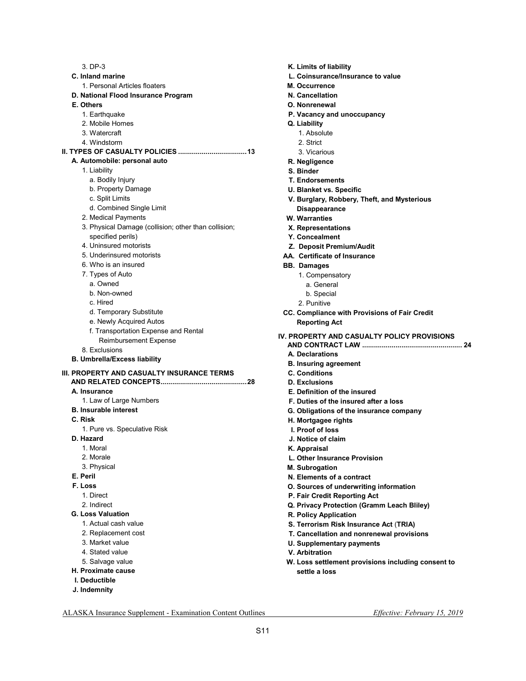3. DP-3 **C. Inland marine**  1. Personal Articles floaters **D. National Flood Insurance Program E. Others**  1. Earthquake 2. Mobile Homes 3. Watercraft 4. Windstorm **II. TYPES OF CASUALTY POLICIES ................................... 13 A. Automobile: personal auto**  1. Liability a. Bodily Injury b. Property Damage c. Split Limits d. Combined Single Limit 2. Medical Payments 3. Physical Damage (collision; other than collision; specified perils) 4. Uninsured motorists 5. Underinsured motorists 6. Who is an insured 7. Types of Auto a. Owned b. Non-owned c. Hired d. Temporary Substitute e. Newly Acquired Autos f. Transportation Expense and Rental Reimbursement Expense 8. Exclusions **B. Umbrella/Excess liability III. PROPERTY AND CASUALTY INSURANCE TERMS AND RELATED CONCEPTS ............................................ 28 A. Insurance**  1. Law of Large Numbers **B. Insurable interest C. Risk**  1. Pure vs. Speculative Risk **D. Hazard**  1. Moral 2. Morale 3. Physical **E. Peril F. Loss** 

- **K. Limits of liability**
- **L. Coinsurance/Insurance to value**
- **M. Occurrence**
- **N. Cancellation**
- **O. Nonrenewal**
- **P. Vacancy and unoccupancy**
- **Q. Liability** 
	- 1. Absolute
	- 2. Strict
	- 3. Vicarious
- **R. Negligence**
- **S. Binder**
- **T. Endorsements**
- **U. Blanket vs. Specific**
- **V. Burglary, Robbery, Theft, and Mysterious Disappearance**
- **W. Warranties**
- **X. Representations**
- **Y. Concealment**
- **Z. Deposit Premium/Audit**
- **AA. Certificate of Insurance**
- **BB. Damages** 
	- 1. Compensatory
	- a. General
	- b. Special
	- 2. Punitive
- **CC. Compliance with Provisions of Fair Credit Reporting Act**
- **IV. PROPERTY AND CASUALTY POLICY PROVISIONS** 
	- **AND CONTRACT LAW ................................................... 24**
	- **A. Declarations**
	- **B. Insuring agreement**
	- **C. Conditions D. Exclusions**
	-
	- **E. Definition of the insured**
	- **F. Duties of the insured after a loss**
	- **G. Obligations of the insurance company**
	- **H. Mortgagee rights**
	- **I. Proof of loss**
	- **J. Notice of claim**
	- **K. Appraisal**
	- **L. Other Insurance Provision**
	- **M. Subrogation**
	- **N. Elements of a contract**
	- **O. Sources of underwriting information**
	- **P. Fair Credit Reporting Act**
	- **Q. Privacy Protection (Gramm Leach Bliley)**
	- **R. Policy Application**
	- **S. Terrorism Risk Insurance Act** (**TRIA)**
	- **T. Cancellation and nonrenewal provisions**
	- **U. Supplementary payments**
	- **V. Arbitration**
	- **W. Loss settlement provisions including consent to settle a loss**

ALASKA Insurance Supplement - Examination Content Outlines *Effective: February 15, 2019* 

1. Direct 2. Indirect **G. Loss Valuation**  1. Actual cash value 2. Replacement cost 3. Market value 4. Stated value 5. Salvage value **H. Proximate cause I. Deductible J. Indemnity**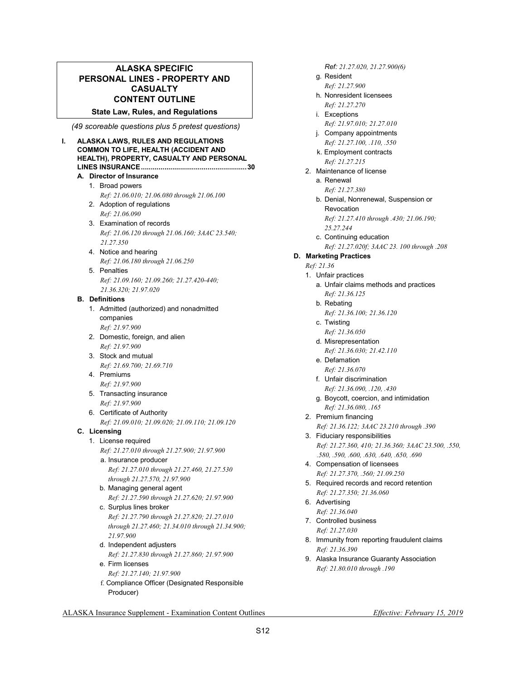## **ALASKA SPECIFIC PERSONAL LINES - PROPERTY AND CASUALTY CONTENT OUTLINE**

#### **State Law, Rules, and Regulations**

 *(49 scoreable questions plus 5 pretest questions)* 

#### **I. ALASKA LAWS, RULES AND REGULATIONS COMMON TO LIFE, HEALTH (ACCIDENT AND HEALTH), PROPERTY, CASUALTY AND PERSONAL LINES INSURANCE ...................................................... 30**

#### **A. Director of Insurance**

## 1. Broad powers

- *Ref: 21.06.010; 21.06.080 through 21.06.100*
- 2. Adoption of regulations  *Ref: 21.06.090*
- 3. Examination of records  *Ref: 21.06.120 through 21.06.160; 3AAC 23.540; 21.27.350*
- 4. Notice and hearing  *Ref: 21.06.180 through 21.06.250*
- 5. Penalties  *Ref: 21.09.160; 21.09.260; 21.27.420-440; 21.36.320; 21.97.020*

#### **B. Definitions**

 1. Admitted (authorized) and nonadmitted companies  *Ref: 21.97.900*  2. Domestic, foreign, and alien

- *Ref: 21.97.900*  3. Stock and mutual
- *Ref: 21.69.700; 21.69.710*  4. Premiums
- *Ref: 21.97.900*
- 5. Transacting insurance  *Ref: 21.97.900*
- 6. Certificate of Authority  *Ref: 21.09.010; 21.09.020; 21.09.110; 21.09.120*

## **C. Licensing**

- 1. License required  *Ref: 21.27.010 through 21.27.900; 21.97.900* 
	- a. Insurance producer  *Ref: 21.27.010 through 21.27.460, 21.27.530 through 21.27.570, 21.97.900*
	- b. Managing general agent *Ref: 21.27.590 through 21.27.620; 21.97.900*
	- c. Surplus lines broker  *Ref: 21.27.790 through 21.27.820; 21.27.010 through 21.27.460; 21.34.010 through 21.34.900; 21.97.900*
	- d. Independent adjusters  *Ref: 21.27.830 through 21.27.860; 21.97.900*
	- e. Firm licenses  *Ref: 21.27.140; 21.97.900*
	- f. Compliance Officer (Designated Responsible Producer)

*Ref: 21.27.020, 21.27.900(6)* 

- g. Resident  *Ref: 21.27.900*
- h. Nonresident licensees  *Ref: 21.27.270*
- i. Exceptions
- *Ref: 21.97.010; 21.27.010*
- j. Company appointments  *Ref: 21.27.100, .110, .550*
- k. Employment contracts *Ref: 21.27.215*
- 2. Maintenance of license
	- a. Renewal  *Ref: 21.27.380*
	- b. Denial, Nonrenewal, Suspension or Revocation *Ref: 21.27.410 through .430; 21.06.190;*
	- *25.27.244*  c. Continuing education  *Ref: 21.27.020f; 3AAC 23. 100 through .208*

## **D. Marketing Practices**

## *Ref: 21.36*

- 1. Unfair practices
	- a. Unfair claims methods and practices  *Ref: 21.36.125*
	- b. Rebating
		- *Ref: 21.36.100; 21.36.120*
	- c. Twisting  *Ref: 21.36.050*
	- d. Misrepresentation
		- *Ref: 21.36.030; 21.42.110*
	- e. Defamation  *Ref: 21.36.070*
	- f. Unfair discrimination  *Ref: 21.36.090, .120, .430*
	- g. Boycott, coercion, and intimidation  *Ref: 21.36.080, .165*
- 2. Premium financing  *Ref: 21.36.122; 3AAC 23.210 through .390*  3. Fiduciary responsibilities
	- *Ref: 21.27.360, 410; 21.36.360; 3AAC 23.500, .550, .580, .590, .600, .630, .640, .650, .690*
- 4. Compensation of licensees *Ref: 21.27.370, .560; 21.09.250*
- 5. Required records and record retention  *Ref: 21.27.350; 21.36.060*
- 6. Advertising
	- *Ref: 21.36.040*
- 7. Controlled business  *Ref: 21.27.030*
- 8. Immunity from reporting fraudulent claims  *Ref: 21.36.390*
- 9. Alaska Insurance Guaranty Association  *Ref: 21.80.010 through .190*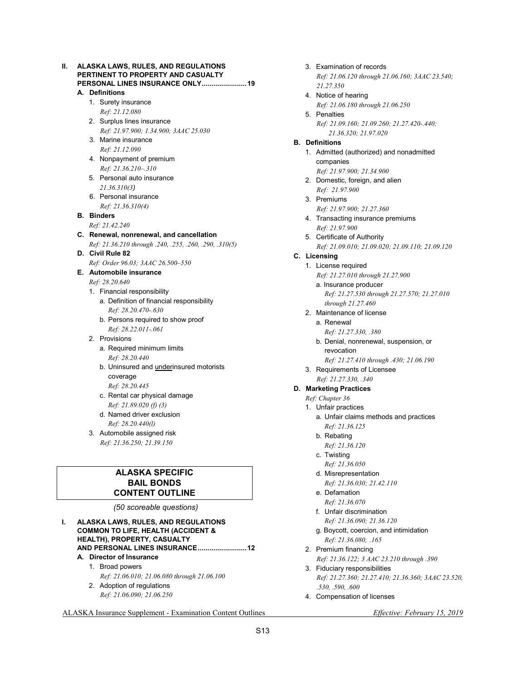| н. |    | ALASKA LAWS, RULES, AND REGULATIONS<br>PERTINENT TO PROPERTY AND CASUALTY<br>PERSONAL LINES INSURANCE ONLY 19 |  |  |
|----|----|---------------------------------------------------------------------------------------------------------------|--|--|
|    |    | A. Definitions                                                                                                |  |  |
|    |    | 1. Surety insurance                                                                                           |  |  |
|    |    | Ref: 21.12.080                                                                                                |  |  |
|    |    | 2. Surplus lines insurance                                                                                    |  |  |
|    |    | Ref: 21.97.900; 1.34.900; 3AAC 25.030                                                                         |  |  |
|    |    | 3. Marine insurance                                                                                           |  |  |
|    |    | Ref: 21.12.090                                                                                                |  |  |
|    |    | 4. Nonpayment of premium                                                                                      |  |  |
|    |    | Ref: 21.36.210-.310                                                                                           |  |  |
|    |    | 5. Personal auto insurance                                                                                    |  |  |
|    |    | 21.36.310(3)                                                                                                  |  |  |
|    |    | 6. Personal insurance                                                                                         |  |  |
|    |    | Ref: 21.36.310(4)                                                                                             |  |  |
|    | В. | <b>Binders</b>                                                                                                |  |  |
|    |    | Ref: 21.42.240                                                                                                |  |  |
|    |    | C. Renewal, nonrenewal, and cancellation                                                                      |  |  |
|    |    | Ref: 21.36.210 through .240, .255, .260, .290, .310(5)                                                        |  |  |
|    |    | D. Civil Rule 82                                                                                              |  |  |
|    |    | Ref: Order 96.03; 3AAC 26.500-550                                                                             |  |  |
|    |    | E. Automobile insurance                                                                                       |  |  |
|    |    | Ref: 28.20.640                                                                                                |  |  |
|    |    | 1. Financial responsibility                                                                                   |  |  |
|    |    | a. Definition of financial responsibility                                                                     |  |  |
|    |    | Ref: 28.20.470-.630                                                                                           |  |  |
|    |    | b. Persons required to show proof                                                                             |  |  |
|    |    | Ref: 28.22.011-.061                                                                                           |  |  |
|    |    | 2. Provisions                                                                                                 |  |  |
|    |    | a. Required minimum limits                                                                                    |  |  |
|    |    | Ref: 28.20.440                                                                                                |  |  |
|    |    | b. Uninsured and underinsured motorists                                                                       |  |  |
|    |    | coverage                                                                                                      |  |  |
|    |    | Ref: 28.20.445                                                                                                |  |  |
|    |    | c. Rental car physical damage                                                                                 |  |  |
|    |    | Ref: 21.89.020 (f) (3)                                                                                        |  |  |
|    |    | d. Named driver exclusion                                                                                     |  |  |
|    |    | Ref: 28.20.440(l)                                                                                             |  |  |

- 3. Automobile assigned risk
- *Ref: 21.36.250; 21.39.150*

## **ALASKA SPECIFIC BAIL BONDS CONTENT OUTLINE**

#### *(50 scoreable questions)*

- **I. ALASKA LAWS, RULES, AND REGULATIONS COMMON TO LIFE, HEALTH (ACCIDENT & HEALTH), PROPERTY, CASUALTY AND PERSONAL LINES INSURANCE ......................... 12 A. Director of Insurance** 
	- 1. Broad powers  *Ref: 21.06.010; 21.06.080 through 21.06.100*
	- 2. Adoption of regulations  *Ref: 21.06.090; 21.06.250*
- 3. Examination of records  *Ref: 21.06.120 through 21.06.160; 3AAC 23.540; 21.27.350*
- 4. Notice of hearing  *Ref: 21.06.180 through 21.06.250*
- 5. Penalties  *Ref: 21.09.160; 21.09.260; 21.27.420-.440; 21.36.320; 21.97.020*
- **B. Definitions** 
	- 1. Admitted (authorized) and nonadmitted companies
	- *Ref: 21.97.900; 21.34.900*  2. Domestic, foreign, and alien  *Ref: 21.97.900*
	- 3. Premiums
		- *Ref: 21.97.900; 21.27.360*
	- 4. Transacting insurance premiums  *Ref: 21.97.900*
	- 5. Certificate of Authority  *Ref: 21.09.010; 21.09.020; 21.09.110; 21.09.120*
- **C. Licensing** 
	- 1. License required  *Ref: 21.27.010 through 21.27.900* 
		- a. Insurance producer  *Ref: 21.27.530 through 21.27.570; 21.27.010 through 21.27.460*
	- 2. Maintenance of license
		- a. Renewal  *Ref: 21.27.330, .380*
		- b. Denial, nonrenewal, suspension, or revocation
			- *Ref: 21.27.410 through .430; 21.06.190*
	- 3. Requirements of Licensee  *Ref: 21.27.330, .340*

## **D. Marketing Practices**

- *Ref: Chapter 36* 
	- 1. Unfair practices
		- a. Unfair claims methods and practices  *Ref: 21.36.125*
		- b. Rebating
		- *Ref: 21.36.120*
		- c. Twisting  *Ref: 21.36.050*
		- d. Misrepresentation
		- *Ref: 21.36.030; 21.42.110*  e. Defamation
		- *Ref: 21.36.070*
		- f. Unfair discrimination  *Ref: 21.36.090; 21.36.120*
		- g. Boycott, coercion, and intimidation  *Ref: 21.36.080, .165*
	- 2. Premium financing *Ref: 21.36.122; 3 AAC 23.210 through .390*
	- 3. Fiduciary responsibilities  *Ref: 21.27.360; 21.27.410; 21.36.360; 3AAC 23.520, .530, .590, .600*
	- 4. Compensation of licenses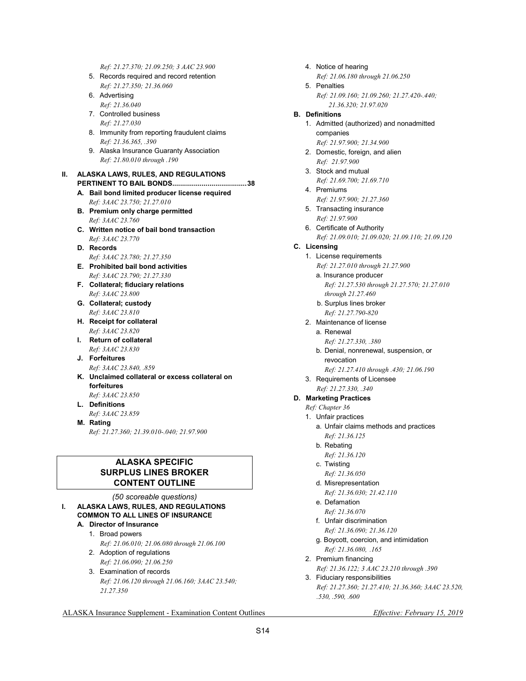*Ref: 21.27.370; 21.09.250; 3 AAC 23.900*  5. Records required and record retention  *Ref: 21.27.350; 21.36.060* 

- 6. Advertising  *Ref: 21.36.040*
- 7. Controlled business  *Ref: 21.27.030*
- 8. Immunity from reporting fraudulent claims  *Ref: 21.36.365, .390*
- 9. Alaska Insurance Guaranty Association  *Ref: 21.80.010 through .190*

#### **II. ALASKA LAWS, RULES, AND REGULATIONS PERTINENT TO BAIL BONDS...................................... 38**

- **A. Bail bond limited producer license required**
- *Ref: 3AAC 23.750; 21.27.010*   **B. Premium only charge permitted**   *Ref: 3AAC 23.760*
- **C. Written notice of bail bond transaction**   *Ref: 3AAC 23.770*
- **D. Records**   *Ref: 3AAC 23.780; 21.27.350*
- **E. Prohibited bail bond activities**   *Ref: 3AAC 23.790; 21.27.330*
- **F. Collateral; fiduciary relations**   *Ref: 3AAC 23.800*
- **G. Collateral; custody**   *Ref: 3AAC 23.810*
- **H. Receipt for collateral**   *Ref: 3AAC 23.820*
- **I. Return of collateral**   *Ref: 3AAC 23.830*
- **J. Forfeitures**   *Ref: 3AAC 23.840, .859*
- **K. Unclaimed collateral or excess collateral on forfeitures**
- *Ref: 3AAC 23.850*   **L. Definitions**
- *Ref: 3AAC 23.859*  **M. Rating** 
	- *Ref: 21.27.360; 21.39.010-.040; 21.97.900*

## **ALASKA SPECIFIC SURPLUS LINES BROKER CONTENT OUTLINE**

- *(50 scoreable questions)*  **I. ALASKA LAWS, RULES, AND REGULATIONS COMMON TO ALL LINES OF INSURANCE** 
	- **A. Director of Insurance** 
		- 1. Broad powers  *Ref: 21.06.010; 21.06.080 through 21.06.100*
		- 2. Adoption of regulations  *Ref: 21.06.090; 21.06.250*
		- 3. Examination of records  *Ref: 21.06.120 through 21.06.160; 3AAC 23.540; 21.27.350*
- 4. Notice of hearing
- *Ref: 21.06.180 through 21.06.250*  5. Penalties
	- *Ref: 21.09.160; 21.09.260; 21.27.420-.440; 21.36.320; 21.97.020*

## **B. Definitions**

- 1. Admitted (authorized) and nonadmitted companies
	- *Ref: 21.97.900; 21.34.900*
- 2. Domestic, foreign, and alien  *Ref: 21.97.900*
- 3. Stock and mutual  *Ref: 21.69.700; 21.69.710*
- 4. Premiums
- *Ref: 21.97.900; 21.27.360*
- 5. Transacting insurance  *Ref: 21.97.900*
- 6. Certificate of Authority  *Ref: 21.09.010; 21.09.020; 21.09.110; 21.09.120*
- **C. Licensing** 
	- 1. License requirements
		- *Ref: 21.27.010 through 21.27.900*
		- a. Insurance producer  *Ref: 21.27.530 through 21.27.570; 21.27.010 through 21.27.460*
		- b. Surplus lines broker *Ref: 21.27.790-820*
	- 2. Maintenance of license
		- a. Renewal
			- *Ref: 21.27.330, .380*
		- b. Denial, nonrenewal, suspension, or revocation
			- *Ref: 21.27.410 through .430; 21.06.190*
	- 3. Requirements of Licensee  *Ref: 21.27.330, .340*

## **D. Marketing Practices**

- *Ref: Chapter 36*
- 1. Unfair practices
	- a. Unfair claims methods and practices  *Ref: 21.36.125*
	- b. Rebating
	- *Ref: 21.36.120*
	- c. Twisting  *Ref: 21.36.050*
	- d. Misrepresentation
		- *Ref: 21.36.030; 21.42.110*
	- e. Defamation  *Ref: 21.36.070*
	- f. Unfair discrimination  *Ref: 21.36.090; 21.36.120*
	- g. Boycott, coercion, and intimidation  *Ref: 21.36.080, .165*
- 2. Premium financing *Ref: 21.36.122; 3 AAC 23.210 through .390*
- 3. Fiduciary responsibilities  *Ref: 21.27.360; 21.27.410; 21.36.360; 3AAC 23.520, .530, .590, .600*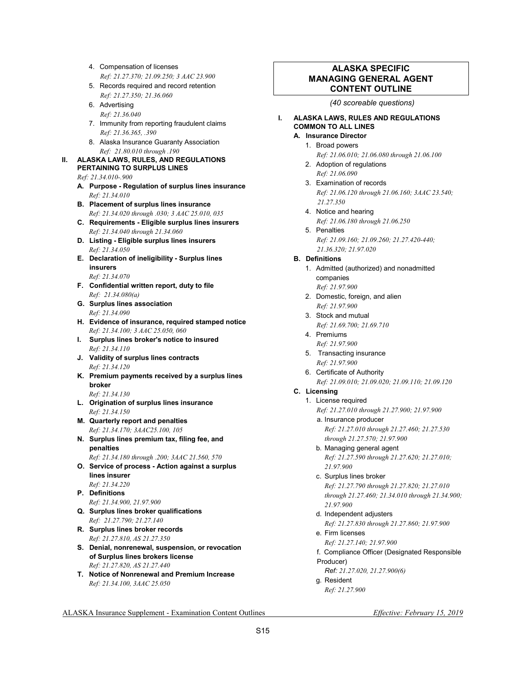- 4. Compensation of licenses  *Ref: 21.27.370; 21.09.250; 3 AAC 23.900*
- 5. Records required and record retention  *Ref: 21.27.350; 21.36.060*
- 6. Advertising  *Ref: 21.36.040*
- 7. Immunity from reporting fraudulent claims  *Ref: 21.36.365, .390*
- 8. Alaska Insurance Guaranty Association  *Ref: 21.80.010 through .190*

## **II. ALASKA LAWS, RULES, AND REGULATIONS PERTAINING TO SURPLUS LINES**

- *Ref: 21.34.010-.900*
- **A. Purpose Regulation of surplus lines insurance**  *Ref: 21.34.010*
- **B. Placement of surplus lines insurance**   *Ref: 21.34.020 through .030; 3 AAC 25.010, 035*
- **C. Requirements Eligible surplus lines insurers**   *Ref: 21.34.040 through 21.34.060*
- **D. Listing Eligible surplus lines insurers**   *Ref: 21.34.050*
- **E. Declaration of ineligibility Surplus lines insurers**   *Ref: 21.34.070*
- **F. Confidential written report, duty to file**   *Ref: 21.34.080(a)*
- **G. Surplus lines association**   *Ref: 21.34.090*
- **H. Evidence of insurance, required stamped notice**   *Ref: 21.34.100; 3 AAC 25.050, 060*
- **I. Surplus lines broker's notice to insured**   *Ref: 21.34.110*
- **J. Validity of surplus lines contracts**   *Ref: 21.34.120*
- **K. Premium payments received by a surplus lines broker**

 *Ref: 21.34.130* 

- **L. Origination of surplus lines insurance**   *Ref: 21.34.150*
- **M. Quarterly report and penalties**   *Ref: 21.34.170; 3AAC25.100, 105*
- **N. Surplus lines premium tax, filing fee, and penalties**
- *Ref: 21.34.180 through .200; 3AAC 21.560, 570*   **O. Service of process - Action against a surplus lines insurer**
- *Ref: 21.34.220*   **P. Definitions**
- *Ref: 21.34.900, 21.97.900*
- **Q. Surplus lines broker qualifications**   *Ref: 21.27.790; 21.27.140*
- **R. Surplus lines broker records**   *Ref: 21.27.810, AS 21.27.350*
- **S. Denial, nonrenewal, suspension, or revocation of Surplus lines brokers license**   *Ref: 21.27.820, AS 21.27.440*
- **T. Notice of Nonrenewal and Premium Increase**  *Ref: 21.34.100, 3AAC 25.050*

## **ALASKA SPECIFIC MANAGING GENERAL AGENT CONTENT OUTLINE**

#### *(40 scoreable questions)*

## **I. ALASKA LAWS, RULES AND REGULATIONS COMMON TO ALL LINES**

- **A. Insurance Director** 
	- 1. Broad powers
	- *Ref: 21.06.010; 21.06.080 through 21.06.100*  2. Adoption of regulations
	- *Ref: 21.06.090*  3. Examination of records
	- *Ref: 21.06.120 through 21.06.160; 3AAC 23.540; 21.27.350*
	- 4. Notice and hearing  *Ref: 21.06.180 through 21.06.250*
	- 5. Penalties  *Ref: 21.09.160; 21.09.260; 21.27.420-440; 21.36.320; 21.97.020*

## **B. Definitions**

- 1. Admitted (authorized) and nonadmitted companies
	- *Ref: 21.97.900*
- 2. Domestic, foreign, and alien  *Ref: 21.97.900*
- 3. Stock and mutual
- *Ref: 21.69.700; 21.69.710*
- 4. Premiums  *Ref: 21.97.900*
- 5. Transacting insurance  *Ref: 21.97.900*
- 6. Certificate of Authority
	- *Ref: 21.09.010; 21.09.020; 21.09.110; 21.09.120*

## **C. Licensing**

1. License required

 *Ref: 21.27.010 through 21.27.900; 21.97.900*  a. Insurance producer

 *Ref: 21.27.010 through 21.27.460; 21.27.530 through 21.27.570; 21.97.900* 

- b. Managing general agent *Ref: 21.27.590 through 21.27.620; 21.27.010; 21.97.900*
- c. Surplus lines broker *Ref: 21.27.790 through 21.27.820; 21.27.010 through 21.27.460; 21.34.010 through 21.34.900; 21.97.900*
- d. Independent adjusters  *Ref: 21.27.830 through 21.27.860; 21.97.900*
- e. Firm licenses
- *Ref: 21.27.140; 21.97.900*  f. Compliance Officer (Designated Responsible
- Producer)
	- *Ref: 21.27.020, 21.27.900(6)*
- g. Resident  *Ref: 21.27.900*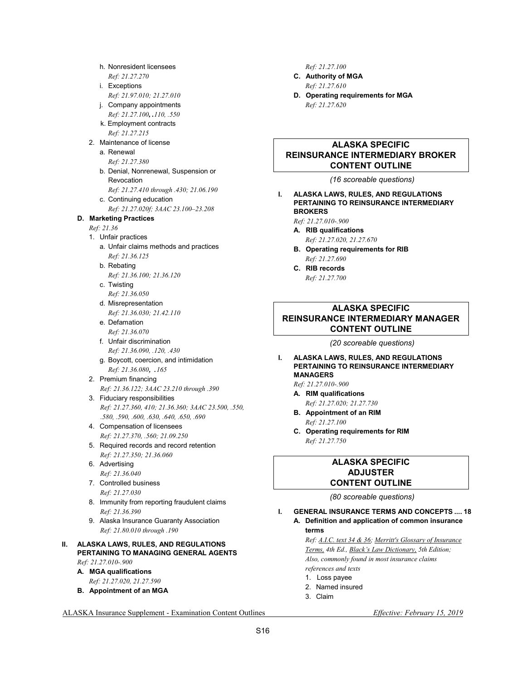*Ref: 21.27.270*  i. Exceptions  *Ref: 21.97.010; 21.27.010*  j. Company appointments  *Ref: 21.27.100, .110, .550*  k. Employment contracts *Ref: 21.27.215*  2. Maintenance of license a. Renewal  *Ref: 21.27.380*  b. Denial, Nonrenewal, Suspension or Revocation  *Ref: 21.27.410 through .430; 21.06.190*  c. Continuing education  *Ref: 21.27.020f; 3AAC 23.100–23.208*   **D. Marketing Practices**   *Ref: 21.36*  1. Unfair practices a. Unfair claims methods and practices  *Ref: 21.36.125*  b. Rebating  *Ref: 21.36.100; 21.36.120*  c. Twisting  *Ref: 21.36.050*  d. Misrepresentation  *Ref: 21.36.030; 21.42.110*  e. Defamation  *Ref: 21.36.070*  f. Unfair discrimination  *Ref: 21.36.090, .120, .430*  g. Boycott, coercion, and intimidation  *Ref: 21.36.080, .<sup>165</sup>* 2. Premium financing  *Ref: 21.36.122; 3AAC 23.210 through .390*  3. Fiduciary responsibilities  *Ref: 21.27.360, 410; 21.36.360; 3AAC 23.500, .550, .580, .590, .600, .630, .640, .650, .690*  4. Compensation of licensees  *Ref: 21.27.370, .560; 21.09.250*  5. Required records and record retention  *Ref: 21.27.350; 21.36.060*  6. Advertising  *Ref: 21.36.040*  7. Controlled business  *Ref: 21.27.030*  8. Immunity from reporting fraudulent claims  *Ref: 21.36.390*  9. Alaska Insurance Guaranty Association  *Ref: 21.80.010 through .190*  **II. ALASKA LAWS, RULES, AND REGULATIONS PERTAINING TO MANAGING GENERAL AGENTS**   *Ref: 21.27.010-.900*   **A. MGA qualifications** 

h. Nonresident licensees

- *Ref: 21.27.020, 21.27.590*
- **B. Appointment of an MGA**

 *Ref: 21.27.100* 

- **C. Authority of MGA**   *Ref: 21.27.610*
- **D. Operating requirements for MGA**   *Ref: 21.27.620*

## **ALASKA SPECIFIC REINSURANCE INTERMEDIARY BROKER CONTENT OUTLINE**

 *(16 scoreable questions)* 

**I. ALASKA LAWS, RULES, AND REGULATIONS PERTAINING TO REINSURANCE INTERMEDIARY BROKERS** 

 *Ref: 21.27.010-.900* 

- **A. RIB qualifications**   *Ref: 21.27.020, 21.27.670*
- **B. Operating requirements for RIB**   *Ref: 21.27.690*
- **C. RIB records**   *Ref: 21.27.700*

## **ALASKA SPECIFIC REINSURANCE INTERMEDIARY MANAGER CONTENT OUTLINE**

 *(20 scoreable questions)* 

#### **I. ALASKA LAWS, RULES, AND REGULATIONS PERTAINING TO REINSURANCE INTERMEDIARY MANAGERS**

 *Ref: 21.27.010-.900* 

- **A. RIM qualifications**   *Ref: 21.27.020; 21.27.730*
- **B. Appointment of an RIM**   *Ref: 21.27.100*
- **C. Operating requirements for RIM**   *Ref: 21.27.750*

### **ALASKA SPECIFIC ADJUSTER CONTENT OUTLINE**

 *(80 scoreable questions)* 

**I. GENERAL INSURANCE TERMS AND CONCEPTS .... 18 A. Definition and application of common insurance terms** 

> *Ref: A.I.C. text 34 & 36; Merritt's Glossary of Insurance Terms, 4th Ed., Black's Law Dictionary, 5th Edition; Also, commonly found in most insurance claims*

- *references and texts*
- 1. Loss payee
- 2. Named insured
- 3. Claim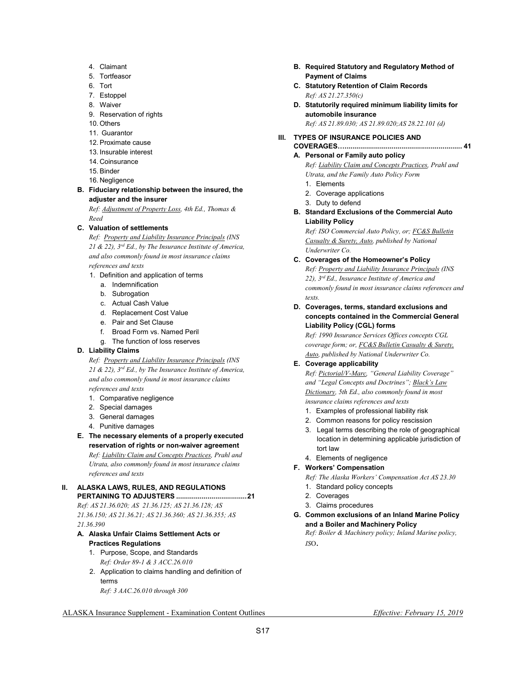- 4. Claimant
- 5. Tortfeasor
- 6. Tort
- 7. Estoppel
- 8. Waiver
- 9. Reservation of rights
- 10. Others
- 11. Guarantor
- 12. Proximate cause
- 13. Insurable interest
- 14. Coinsurance
- 15. Binder
- 16. Negligence
- **B. Fiduciary relationship between the insured, the adjuster and the insurer**

 *Ref: Adjustment of Property Loss, 4th Ed., Thomas & Reed* 

**C. Valuation of settlements** 

 *Ref: Property and Liability Insurance Principals (INS 21 & 22), 3rd Ed., by The Insurance Institute of America, and also commonly found in most insurance claims references and texts* 

- 1. Definition and application of terms
	- a. Indemnification
	- b. Subrogation
	- c. Actual Cash Value
	- d. Replacement Cost Value
	- e. Pair and Set Clause
	- f. Broad Form vs. Named Peril
	- g. The function of loss reserves

#### **D. Liability Claims**

 *Ref: Property and Liability Insurance Principals (INS 21 & 22), 3rd Ed., by The Insurance Institute of America, and also commonly found in most insurance claims references and texts* 

- 1. Comparative negligence
- 2. Special damages
- 3. General damages
- 4. Punitive damages
- **E. The necessary elements of a properly executed reservation of rights or non-waiver agreement**   *Ref: Liability Claim and Concepts Practices, Prahl and Utrata, also commonly found in most insurance claims references and texts*

#### **II. ALASKA LAWS, RULES, AND REGULATIONS PERTAINING TO ADJUSTERS .................................... 21**

*Ref: AS 21.36.020; AS 21.36.125; AS 21.36.128; AS 21.36.150; AS 21.36.21; AS 21.36.360; AS 21.36.355; AS 21.36.390* 

- **A. Alaska Unfair Claims Settlement Acts or Practices Regulations** 
	- 1. Purpose, Scope, and Standards  *Ref: Order 89-1 & 3 ACC.26.010*
	- 2. Application to claims handling and definition of terms  *Ref: 3 AAC.26.010 through 300*
- **B. Required Statutory and Regulatory Method of Payment of Claims**
- **C. Statutory Retention of Claim Records**   *Ref: AS 21.27.350(c)*
- **D. Statutorily required minimum liability limits for automobile insurance**   *Ref: AS 21.89.030; AS 21.89.020;AS 28.22.101 (d)*
- **III. TYPES OF INSURANCE POLICIES AND COVERAGES4 ............................................................ 41**

## **A. Personal or Family auto policy**

 *Ref: Liability Claim and Concepts Practices, Prahl and Utrata, and the Family Auto Policy Form* 

- 1. Elements
- 2. Coverage applications
- 3. Duty to defend
- **B. Standard Exclusions of the Commercial Auto Liability Policy**

 *Ref: ISO Commercial Auto Policy, or; FC&S Bulletin Casualty & Surety, Auto, published by National Underwriter Co.* 

- **C. Coverages of the Homeowner's Policy**   *Ref: Property and Liability Insurance Principals (INS 22), 3rd Ed., Insurance Institute of America and commonly found in most insurance claims references and texts.*
- **D. Coverages, terms, standard exclusions and concepts contained in the Commercial General Liability Policy (CGL) forms**

 *Ref: 1990 Insurance Services Offices concepts CGL coverage form; or, FC&S Bulletin Casualty & Surety, Auto, published by National Underwriter Co.* 

#### **E. Coverage applicability**

 *Ref: Pictorial/V-Marc, "General Liability Coverage" and "Legal Concepts and Doctrines"; Black's Law Dictionary, 5th Ed., also commonly found in most insurance claims references and texts* 

- 1. Examples of professional liability risk
- 2. Common reasons for policy rescission
- 3. Legal terms describing the role of geographical location in determining applicable jurisdiction of tort law
- 4. Elements of negligence

## **F. Workers' Compensation**

- *Ref: The Alaska Workers' Compensation Act AS 23.30*
- 1. Standard policy concepts
- 2. Coverages
- 3. Claims procedures
- **G. Common exclusions of an Inland Marine Policy and a Boiler and Machinery Policy**

*Ref: Boiler & Machinery policy; Inland Marine policy, IS*O.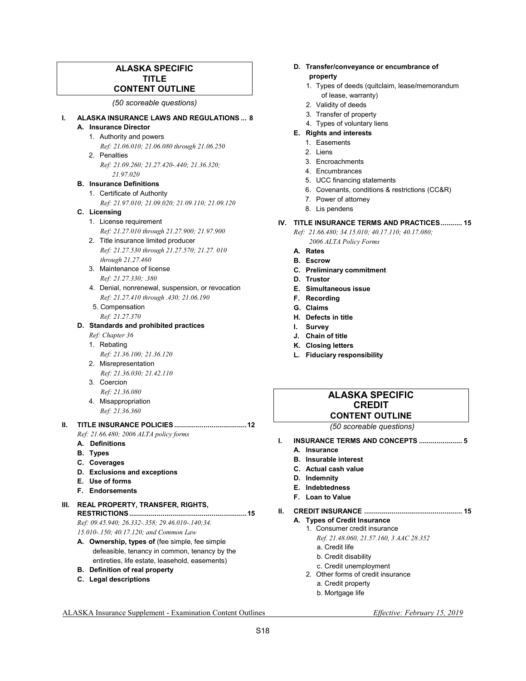## **ALASKA SPECIFIC TITLE CONTENT OUTLINE**

#### *(50 scoreable questions)*

#### **I. ALASKA INSURANCE LAWS AND REGULATIONS ... 8 A. Insurance Director**

- 1. Authority and powers
- *Ref: 21.06.010; 21.06.080 through 21.06.250*  2. Penalties
	- *Ref: 21.09.260; 21.27.420-.440; 21.36.320; 21.97.020*

#### **B. Insurance Definitions**

1. Certificate of Authority

 *Ref: 21.97.010; 21.09.020; 21.09.110; 21.09.120* 

## **C. Licensing**

- 1. License requirement  *Ref: 21.27.010 through 21.27.900; 21.97.900*
- 2. Title insurance limited producer *Ref: 21.27.530 through 21.27.570; 21.27. 010 through 21.27.460*
- 3. Maintenance of license  *Ref: 21.27.330; .380*
- 4. Denial, nonrenewal, suspension, or revocation  *Ref: 21.27.410 through .430; 21.06.190*
- 5. Compensation *Ref: 21.27.370*

#### **D. Standards and prohibited practices**

- *Ref: Chapter 36*
- 1. Rebating  *Ref: 21.36.100; 21.36.120*
- 2. Misrepresentation  *Ref: 21.36.030; 21.42.110*
- 3. Coercion *Ref: 21.36.080*
- 4. Misappropriation  *Ref: 21.36.360*

## **II. TITLE INSURANCE POLICIES ..................................... 12**

 *Ref: 21.66.480; 2006 ALTA policy forms* 

- **A. Definitions**
- **B. Types**
- **C. Coverages**
- **D. Exclusions and exceptions**
- **E. Use of forms**
- **F. Endorsements**

#### **III. REAL PROPERTY, TRANSFER, RIGHTS, RESTRICTIONS ............................................................ 15**

 *Ref: 09.45.940; 26.332-.358; 29.46.010-.140;34. 15.010-.150; 40.17.120; and Common Law* 

- **A. Ownership, types of** (fee simple, fee simple defeasible, tenancy in common, tenancy by the entireties, life estate, leasehold, easements)
- **B. Definition of real property**
- **C. Legal descriptions**

#### **D. Transfer/conveyance or encumbrance of property**

- 1. Types of deeds (quitclaim, lease/memorandum of lease, warranty)
- 2. Validity of deeds
- 3. Transfer of property
- 
- 4. Types of voluntary liens
- **E. Rights and interests** 
	- 1. Easements
	- 2. Liens
	- 3. Encroachments
	- 4. Encumbrances
	- 5. UCC financing statements
	- 6. Covenants, conditions & restrictions (CC&R)
	- 7. Power of attorney
	- 8. Lis pendens

#### **IV. TITLE INSURANCE TERMS AND PRACTICES ........... 15**

 *Ref: 21.66.480; 34.15.010; 40.17.110; 40.17.080;* 

 *2006 ALTA Policy Forms* 

- **A. Rates**
- **B. Escrow**
- **C. Preliminary commitment**
- **D. Trustor**
- **E. Simultaneous issue**
- **F. Recording**
- **G. Claims**
- **H. Defects in title**
- **I. Survey**
- **J. Chain of title**
- **K. Closing letters**
- **L. Fiduciary responsibility**

## **ALASKA SPECIFIC CREDIT CONTENT OUTLINE**

#### *(50 scoreable questions)*

- **INSURANCE TERMS AND CONCEPTS ...................... 5 A. Insurance** 
	- **B. Insurable interest**
	- **C. Actual cash value**
	- **D. Indemnity**
	- **E. Indebtedness**
	- **F. Loan to Value**

#### **II. CREDIT INSURANCE .................................................. 15**

- **A. Types of Credit Insurance**
	- 1. Consumer credit insurance  *Ref. 21.48.060, 21.57.160, 3 AAC 28.352* 
		- a. Credit life
		- b. Credit disability
		- c. Credit unemployment
	- 2. Other forms of credit insurance
		- a. Credit property
		- b. Mortgage life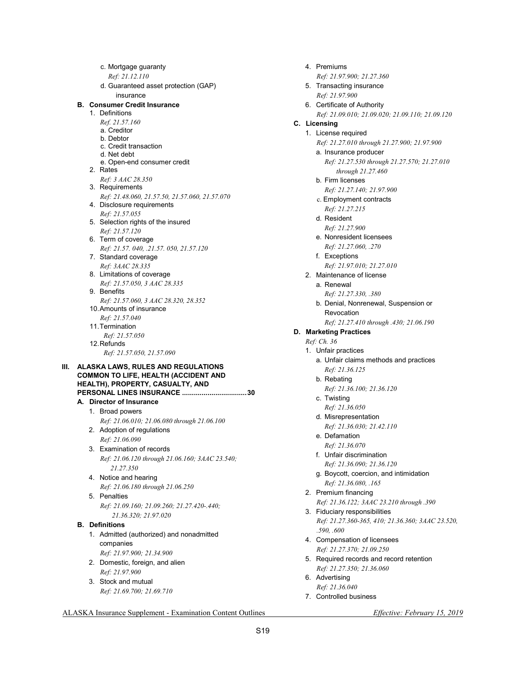|    |    |    | c. Mortgage guaranty                           |  |
|----|----|----|------------------------------------------------|--|
|    |    |    | Ref: 21.12.110                                 |  |
|    |    |    | d. Guaranteed asset protection (GAP)           |  |
|    |    |    | insurance                                      |  |
|    | В. |    | <b>Consumer Credit Insurance</b>               |  |
|    |    |    | 1. Definitions                                 |  |
|    |    |    | Ref. 21.57.160                                 |  |
|    |    |    | a. Creditor                                    |  |
|    |    |    | b. Debtor                                      |  |
|    |    |    | c. Credit transaction                          |  |
|    |    |    | d. Net debt                                    |  |
|    |    |    | e. Open-end consumer credit                    |  |
|    |    |    | 2. Rates                                       |  |
|    |    |    | Ref: 3 AAC 28.350                              |  |
|    |    |    | 3. Requirements                                |  |
|    |    |    | Ref: 21.48.060, 21.57.50, 21.57.060, 21.57.070 |  |
|    |    |    | 4. Disclosure requirements                     |  |
|    |    |    | Ref: 21.57.055                                 |  |
|    |    |    | 5. Selection rights of the insured             |  |
|    |    |    | Ref: 21.57.120                                 |  |
|    |    |    | 6. Term of coverage                            |  |
|    |    |    | Ref: 21.57.040, .21.57.050, 21.57.120          |  |
|    |    |    | 7. Standard coverage                           |  |
|    |    |    | Ref: 3AAC 28.335                               |  |
|    |    |    | 8. Limitations of coverage                     |  |
|    |    |    | Ref: 21.57.050, 3 AAC 28.335                   |  |
|    |    |    | 9. Benefits                                    |  |
|    |    |    | Ref: 21.57.060, 3 AAC 28.320, 28.352           |  |
|    |    |    | 10. Amounts of insurance                       |  |
|    |    |    | Ref: 21.57.040                                 |  |
|    |    |    | 11. Termination                                |  |
|    |    |    |                                                |  |
|    |    |    | Ref: 21.57.050                                 |  |
|    |    |    | 12. Refunds                                    |  |
|    |    |    | Ref: 21.57.050, 21.57.090                      |  |
|    |    |    |                                                |  |
| Ш. |    |    | ALASKA LAWS, RULES AND REGULATIONS             |  |
|    |    |    | <b>COMMON TO LIFE, HEALTH (ACCIDENT AND</b>    |  |
|    |    |    | HEALTH), PROPERTY, CASUALTY, AND               |  |
|    |    |    | <b>PERSONAL LINES INSURANCE 30</b>             |  |
|    |    |    | A. Director of Insurance                       |  |
|    |    | 1. | Broad powers                                   |  |
|    |    |    | Ref: 21.06.010; 21.06.080 through 21.06.100    |  |
|    |    | 2. | Adoption of regulations                        |  |
|    |    |    | Ref: 21.06.090                                 |  |
|    |    |    | 3. Examination of records                      |  |
|    |    |    | Ref: 21.06.120 through 21.06.160; 3AAC 23.540; |  |
|    |    |    | 21.27.350                                      |  |
|    |    |    |                                                |  |
|    |    | 4. | Notice and hearing                             |  |
|    |    |    | Ref: 21.06.180 through 21.06.250               |  |
|    |    |    | 5. Penalties                                   |  |
|    |    |    | Ref: 21.09.160; 21.09.260; 21.27.420-.440;     |  |
|    |    |    | 21.36.320; 21.97.020                           |  |
|    |    |    | <b>B.</b> Definitions                          |  |
|    |    |    | 1. Admitted (authorized) and nonadmitted       |  |
|    |    |    | companies                                      |  |
|    |    |    | Ref: 21.97.900; 21.34.900                      |  |
|    |    |    | 2. Domestic, foreign, and alien                |  |
|    |    |    |                                                |  |
|    |    |    | Ref: 21.97.900                                 |  |
|    |    | 3. | Stock and mutual<br>Ref: 21.69.700; 21.69.710  |  |

 4. Premiums  *Ref: 21.97.900; 21.27.360*  5. Transacting insurance  *Ref: 21.97.900* 6. Certificate of Authority  *Ref: 21.09.010; 21.09.020; 21.09.110; 21.09.120*   **C. Licensing**  1. License required  *Ref: 21.27.010 through 21.27.900; 21.97.900*  a. Insurance producer  *Ref: 21.27.530 through 21.27.570; 21.27.010 through 21.27.460*  b. Firm licenses  *Ref: 21.27.140; 21.97.900*  c. Employment contracts *Ref: 21.27.215*  d. Resident  *Ref: 21.27.900*  e. Nonresident licensees  *Ref: 21.27.060, .270*  f. Exceptions  *Ref: 21.97.010; 21.27.010*  2. Maintenance of license a. Renewal  *Ref: 21.27.330, .380*  b. Denial, Nonrenewal, Suspension or Revocation  *Ref; 21.27.410 through .430; 21.06.190*   **D. Marketing Practices**   *Ref: Ch. 36*  1. Unfair practices a. Unfair claims methods and practices  *Ref: 21.36.125* b. Rebating  *Ref: 21.36.100; 21.36.120*  c. Twisting  *Ref: 21.36.050*  d. Misrepresentation  *Ref: 21.36.030; 21.42.110*  e. Defamation  *Ref: 21.36.070*  f. Unfair discrimination  *Ref: 21.36.090; 21.36.120*  g. Boycott, coercion, and intimidation  *Ref: 21.36.080, .165*  2. Premium financing  *Ref: 21.36.122; 3AAC 23.210 through .390*  3. Fiduciary responsibilities  *Ref: 21.27.360-365, 410; 21.36.360; 3AAC 23.520, .590, .600* 4. Compensation of licensees  *Ref: 21.27.370; 21.09.250*  5. Required records and record retention  *Ref: 21.27.350; 21.36.060*  6. Advertising

- *Ref: 21.36.040*
- 7. Controlled business